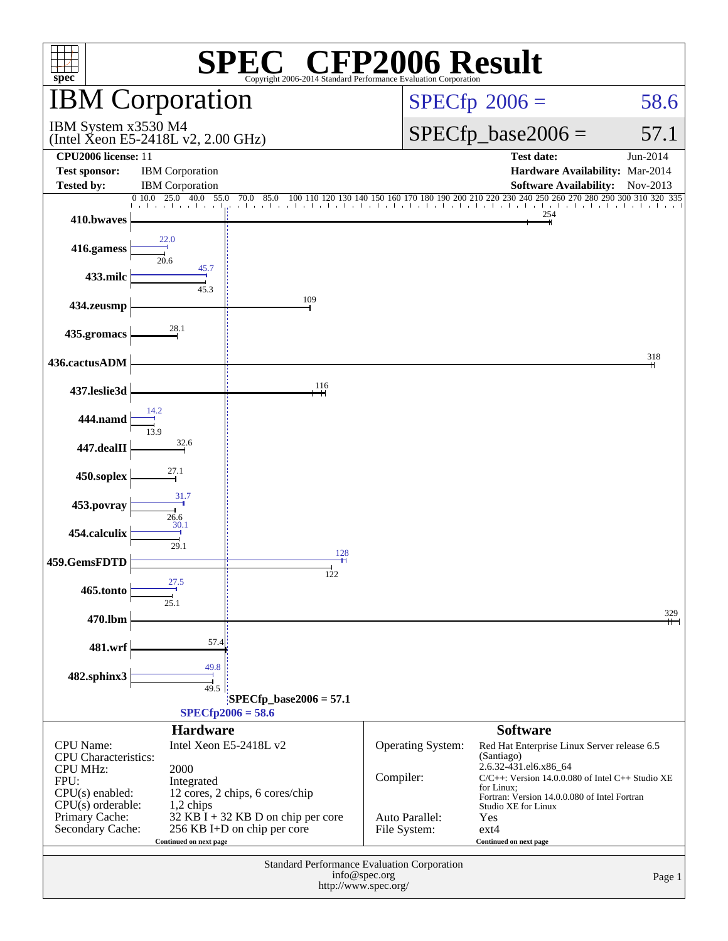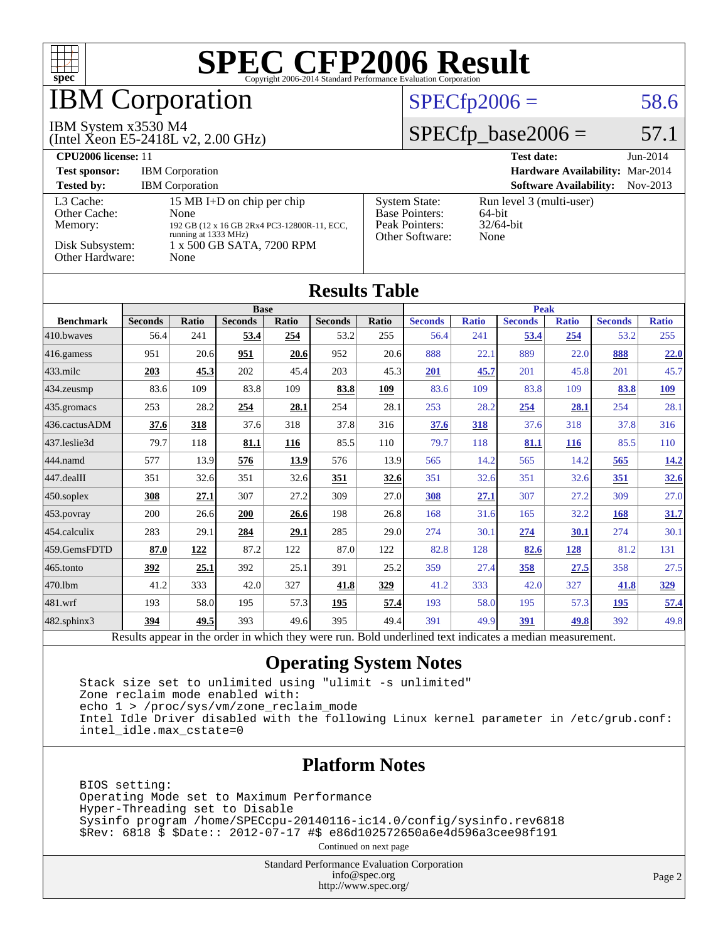

# **BM Corporation**

### IBM System x3530 M4

(Intel Xeon E5-2418L v2, 2.00 GHz)

## $SPECfp2006 = 58.6$  $SPECfp2006 = 58.6$

## $SPECfp\_base2006 = 57.1$

| CPU <sub>2006</sub> license: 11                                            |                                                                                                                                                |                                                                                    | <b>Test date:</b><br>$Jun-2014$                               |
|----------------------------------------------------------------------------|------------------------------------------------------------------------------------------------------------------------------------------------|------------------------------------------------------------------------------------|---------------------------------------------------------------|
| <b>Test sponsor:</b>                                                       | <b>IBM</b> Corporation                                                                                                                         |                                                                                    | Hardware Availability: Mar-2014                               |
| <b>Tested by:</b>                                                          | <b>IBM</b> Corporation                                                                                                                         |                                                                                    | <b>Software Availability:</b><br>Nov-2013                     |
| L3 Cache:<br>Other Cache:<br>Memory:<br>Disk Subsystem:<br>Other Hardware: | 15 MB I+D on chip per chip<br>None<br>192 GB (12 x 16 GB 2Rx4 PC3-12800R-11, ECC,<br>running at 1333 MHz)<br>1 x 500 GB SATA, 7200 RPM<br>None | <b>System State:</b><br><b>Base Pointers:</b><br>Peak Pointers:<br>Other Software: | Run level 3 (multi-user)<br>$64$ -bit<br>$32/64$ -bit<br>None |

| <b>Results Table</b> |                                        |              |                          |              |                |              |                                                                                                                              |              |                |              |                |              |
|----------------------|----------------------------------------|--------------|--------------------------|--------------|----------------|--------------|------------------------------------------------------------------------------------------------------------------------------|--------------|----------------|--------------|----------------|--------------|
|                      | <b>Base</b>                            |              |                          |              | <b>Peak</b>    |              |                                                                                                                              |              |                |              |                |              |
| <b>Benchmark</b>     | <b>Seconds</b>                         | <b>Ratio</b> | <b>Seconds</b>           | <b>Ratio</b> | <b>Seconds</b> | <b>Ratio</b> | <b>Seconds</b>                                                                                                               | <b>Ratio</b> | <b>Seconds</b> | <b>Ratio</b> | <b>Seconds</b> | <b>Ratio</b> |
| 410.bwayes           | 56.4                                   | 241          | 53.4                     | 254          | 53.2           | 255          | 56.4                                                                                                                         | 241          | 53.4           | 254          | 53.2           | 255          |
| $416$ .gamess        | 951                                    | 20.6         | 951                      | 20.6         | 952            | 20.6         | 888                                                                                                                          | 22.1         | 889            | 22.0         | 888            | 22.0         |
| $433$ .milc          | 203                                    | 45.3         | 202                      | 45.4         | 203            | 45.3         | 201                                                                                                                          | 45.7         | 201            | 45.8         | 201            | 45.7         |
| 434.zeusmp           | 83.6                                   | 109          | 83.8                     | 109          | 83.8           | 109          | 83.6                                                                                                                         | 109          | 83.8           | 109          | 83.8           | <u>109</u>   |
| 435.gromacs          | 253                                    | 28.2         | 254                      | 28.1         | 254            | 28.1         | 253                                                                                                                          | 28.2         | 254            | 28.1         | 254            | 28.1         |
| 436.cactusADM        | 37.6                                   | 318          | 37.6                     | 318          | 37.8           | 316          | 37.6                                                                                                                         | 318          | 37.6           | 318          | 37.8           | 316          |
| 437.leslie3d         | 79.7                                   | 118          | 81.1                     | 116          | 85.5           | 110          | 79.7                                                                                                                         | 118          | 81.1           | <b>116</b>   | 85.5           | 110          |
| 444.namd             | 577                                    | 13.9         | 576                      | <u>13.9</u>  | 576            | 13.9         | 565                                                                                                                          | 14.2         | 565            | 14.2         | 565            | 14.2         |
| $447$ .dealII        | 351                                    | 32.6         | 351                      | 32.6         | 351            | 32.6         | 351                                                                                                                          | 32.6         | 351            | 32.6         | <u>351</u>     | <u>32.6</u>  |
| $450$ .soplex        | 308                                    | 27.1         | 307                      | 27.2         | 309            | 27.0         | 308                                                                                                                          | 27.1         | 307            | 27.2         | 309            | 27.0         |
| $ 453$ . povray      | 200                                    | 26.6         | 200                      | 26.6         | 198            | 26.8         | 168                                                                                                                          | 31.6         | 165            | 32.2         | 168            | 31.7         |
| $ 454$ .calculix     | 283                                    | 29.1         | 284                      | 29.1         | 285            | 29.0         | 274                                                                                                                          | 30.1         | 274            | 30.1         | 274            | 30.1         |
| 459.GemsFDTD         | 87.0                                   | 122          | 87.2                     | 122          | 87.0           | 122          | 82.8                                                                                                                         | 128          | 82.6           | 128          | 81.2           | 131          |
| $ 465$ .tonto        | <u>392</u>                             | 25.1         | 392                      | 25.1         | 391            | 25.2         | 359                                                                                                                          | 27.4         | 358            | 27.5         | 358            | 27.5         |
| 470.1bm              | 41.2                                   | 333          | 42.0                     | 327          | 41.8           | 329          | 41.2                                                                                                                         | 333          | 42.0           | 327          | 41.8           | <u>329</u>   |
| $ 481$ .wrf          | 193                                    | 58.0         | 195                      | 57.3         | 195            | 57.4         | 193                                                                                                                          | 58.0         | 195            | 57.3         | <u>195</u>     | 57.4         |
| 482.sphinx3          | 394                                    | 49.5         | 393                      | 49.6         | 395            | 49.4         | 391                                                                                                                          | 49.9         | 391            | 49.8         | 392            | 49.8         |
|                      | $\mathbf{D}$ $\mathbf{D}$ $\mathbf{D}$ | 1.11.1       | $-1.5 - 1.5 - 1.5 - 1.5$ |              |                |              | $\mathbf{D}$ and $\mathbf{I}$ and $\mathbf{I}$ and $\mathbf{I}$ are an internal and $\mathbf{I}$ are a state of $\mathbf{I}$ |              | $\mathbf{A}$   |              |                |              |

Results appear in the [order in which they were run.](http://www.spec.org/auto/cpu2006/Docs/result-fields.html#RunOrder) Bold underlined text [indicates a median measurement.](http://www.spec.org/auto/cpu2006/Docs/result-fields.html#Median)

### **[Operating System Notes](http://www.spec.org/auto/cpu2006/Docs/result-fields.html#OperatingSystemNotes)**

 Stack size set to unlimited using "ulimit -s unlimited" Zone reclaim mode enabled with: echo 1 > /proc/sys/vm/zone\_reclaim\_mode Intel Idle Driver disabled with the following Linux kernel parameter in /etc/grub.conf: intel\_idle.max\_cstate=0

### **[Platform Notes](http://www.spec.org/auto/cpu2006/Docs/result-fields.html#PlatformNotes)**

 BIOS setting: Operating Mode set to Maximum Performance Hyper-Threading set to Disable Sysinfo program /home/SPECcpu-20140116-ic14.0/config/sysinfo.rev6818 \$Rev: 6818 \$ \$Date:: 2012-07-17 #\$ e86d102572650a6e4d596a3cee98f191

Continued on next page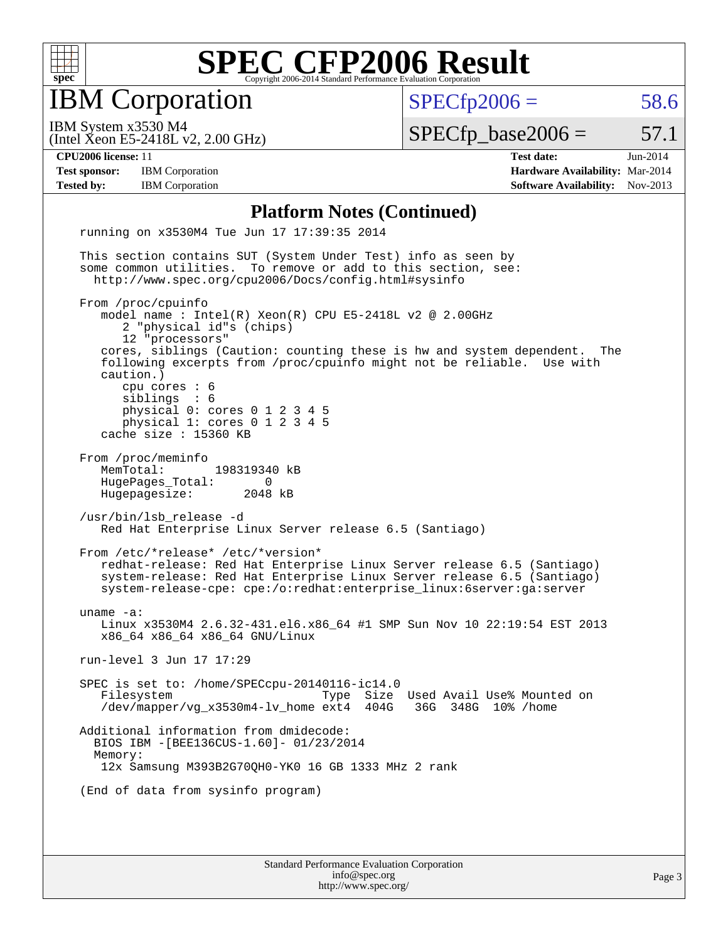

IBM Corporation

 $SPECTp2006 = 58.6$ 

(Intel Xeon E5-2418L v2, 2.00 GHz) IBM System x3530 M4

 $SPECTp\_base2006 = 57.1$ 

**[Test sponsor:](http://www.spec.org/auto/cpu2006/Docs/result-fields.html#Testsponsor)** IBM Corporation **[Hardware Availability:](http://www.spec.org/auto/cpu2006/Docs/result-fields.html#HardwareAvailability)** Mar-2014

**[CPU2006 license:](http://www.spec.org/auto/cpu2006/Docs/result-fields.html#CPU2006license)** 11 **[Test date:](http://www.spec.org/auto/cpu2006/Docs/result-fields.html#Testdate)** Jun-2014 **[Tested by:](http://www.spec.org/auto/cpu2006/Docs/result-fields.html#Testedby)** IBM Corporation **[Software Availability:](http://www.spec.org/auto/cpu2006/Docs/result-fields.html#SoftwareAvailability)** Nov-2013

### **[Platform Notes \(Continued\)](http://www.spec.org/auto/cpu2006/Docs/result-fields.html#PlatformNotes)**

Standard Performance Evaluation Corporation running on x3530M4 Tue Jun 17 17:39:35 2014 This section contains SUT (System Under Test) info as seen by some common utilities. To remove or add to this section, see: <http://www.spec.org/cpu2006/Docs/config.html#sysinfo> From /proc/cpuinfo model name : Intel(R) Xeon(R) CPU E5-2418L v2 @ 2.00GHz 2 "physical id"s (chips) 12 "processors" cores, siblings (Caution: counting these is hw and system dependent. The following excerpts from /proc/cpuinfo might not be reliable. Use with caution.) cpu cores : 6 siblings : 6 physical 0: cores 0 1 2 3 4 5 physical 1: cores 0 1 2 3 4 5 cache size : 15360 KB From /proc/meminfo MemTotal: 198319340 kB HugePages\_Total: 0<br>Hugepagesize: 2048 kB Hugepagesize: /usr/bin/lsb\_release -d Red Hat Enterprise Linux Server release 6.5 (Santiago) From /etc/\*release\* /etc/\*version\* redhat-release: Red Hat Enterprise Linux Server release 6.5 (Santiago) system-release: Red Hat Enterprise Linux Server release 6.5 (Santiago) system-release-cpe: cpe:/o:redhat:enterprise\_linux:6server:ga:server uname -a: Linux x3530M4 2.6.32-431.el6.x86\_64 #1 SMP Sun Nov 10 22:19:54 EST 2013 x86\_64 x86\_64 x86\_64 GNU/Linux run-level 3 Jun 17 17:29 SPEC is set to: /home/SPECcpu-20140116-ic14.0 Filesystem Type Size Used Avail Use% Mounted on<br>
/dev/mapper/vq x3530m4-lv home ext4 404G 36G 348G 10% /home /dev/mapper/vg\_x3530m4-lv\_home ext4 404G Additional information from dmidecode: BIOS IBM -[BEE136CUS-1.60]- 01/23/2014 Memory: 12x Samsung M393B2G70QH0-YK0 16 GB 1333 MHz 2 rank (End of data from sysinfo program)

[info@spec.org](mailto:info@spec.org) <http://www.spec.org/>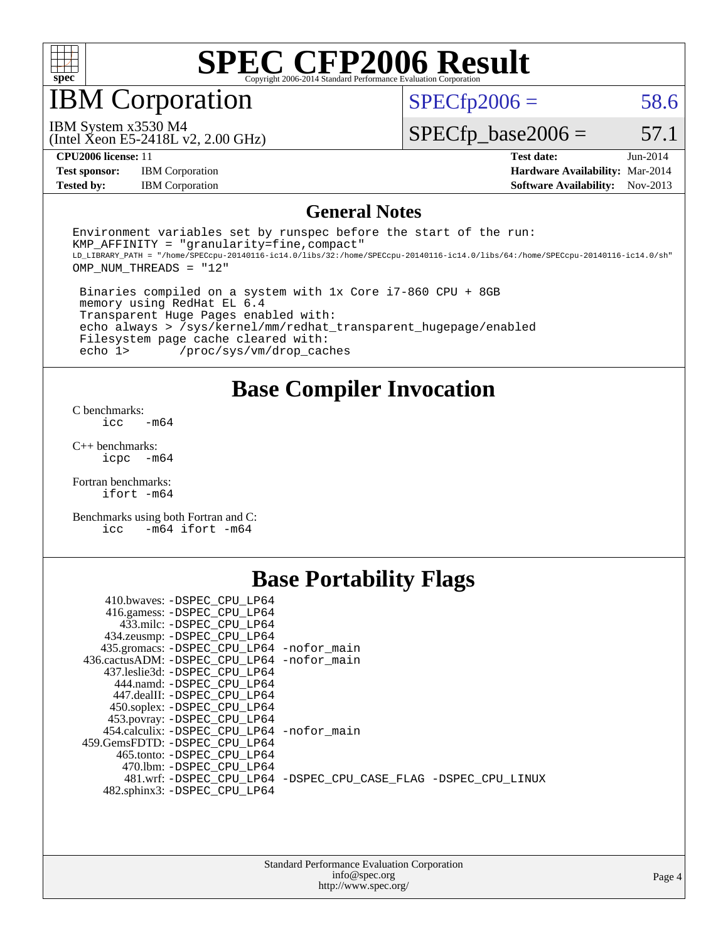

IBM Corporation

 $SPECTp2006 = 58.6$ 

(Intel Xeon E5-2418L v2, 2.00 GHz) IBM System x3530 M4

 $SPECfp\_base2006 = 57.1$ 

**[Test sponsor:](http://www.spec.org/auto/cpu2006/Docs/result-fields.html#Testsponsor)** IBM Corporation **[Hardware Availability:](http://www.spec.org/auto/cpu2006/Docs/result-fields.html#HardwareAvailability)** Mar-2014

**[CPU2006 license:](http://www.spec.org/auto/cpu2006/Docs/result-fields.html#CPU2006license)** 11 **[Test date:](http://www.spec.org/auto/cpu2006/Docs/result-fields.html#Testdate)** Jun-2014 **[Tested by:](http://www.spec.org/auto/cpu2006/Docs/result-fields.html#Testedby)** IBM Corporation **[Software Availability:](http://www.spec.org/auto/cpu2006/Docs/result-fields.html#SoftwareAvailability)** Nov-2013

### **[General Notes](http://www.spec.org/auto/cpu2006/Docs/result-fields.html#GeneralNotes)**

Environment variables set by runspec before the start of the run:  $KMP$  AFFINITY = "granularity=fine, compact" LD\_LIBRARY\_PATH = "/home/SPECcpu-20140116-ic14.0/libs/32:/home/SPECcpu-20140116-ic14.0/libs/64:/home/SPECcpu-20140116-ic14.0/sh" OMP\_NUM\_THREADS = "12"

 Binaries compiled on a system with 1x Core i7-860 CPU + 8GB memory using RedHat EL 6.4 Transparent Huge Pages enabled with: echo always > /sys/kernel/mm/redhat\_transparent\_hugepage/enabled Filesystem page cache cleared with:<br>echo 1> /proc/sys/vm/drop cac /proc/sys/vm/drop\_caches

## **[Base Compiler Invocation](http://www.spec.org/auto/cpu2006/Docs/result-fields.html#BaseCompilerInvocation)**

[C benchmarks](http://www.spec.org/auto/cpu2006/Docs/result-fields.html#Cbenchmarks):  $\text{icc}$   $-\text{m64}$ 

[C++ benchmarks:](http://www.spec.org/auto/cpu2006/Docs/result-fields.html#CXXbenchmarks) [icpc -m64](http://www.spec.org/cpu2006/results/res2014q3/cpu2006-20140617-29948.flags.html#user_CXXbase_intel_icpc_64bit_bedb90c1146cab66620883ef4f41a67e)

[Fortran benchmarks](http://www.spec.org/auto/cpu2006/Docs/result-fields.html#Fortranbenchmarks): [ifort -m64](http://www.spec.org/cpu2006/results/res2014q3/cpu2006-20140617-29948.flags.html#user_FCbase_intel_ifort_64bit_ee9d0fb25645d0210d97eb0527dcc06e)

[Benchmarks using both Fortran and C](http://www.spec.org/auto/cpu2006/Docs/result-fields.html#BenchmarksusingbothFortranandC): [icc -m64](http://www.spec.org/cpu2006/results/res2014q3/cpu2006-20140617-29948.flags.html#user_CC_FCbase_intel_icc_64bit_0b7121f5ab7cfabee23d88897260401c) [ifort -m64](http://www.spec.org/cpu2006/results/res2014q3/cpu2006-20140617-29948.flags.html#user_CC_FCbase_intel_ifort_64bit_ee9d0fb25645d0210d97eb0527dcc06e)

## **[Base Portability Flags](http://www.spec.org/auto/cpu2006/Docs/result-fields.html#BasePortabilityFlags)**

| 410.bwaves: -DSPEC CPU LP64                 |                                                                |
|---------------------------------------------|----------------------------------------------------------------|
| 416.gamess: -DSPEC_CPU_LP64                 |                                                                |
| 433.milc: -DSPEC CPU LP64                   |                                                                |
| 434.zeusmp: - DSPEC_CPU_LP64                |                                                                |
| 435.gromacs: -DSPEC_CPU_LP64 -nofor_main    |                                                                |
| 436.cactusADM: -DSPEC CPU LP64 -nofor main  |                                                                |
| 437.leslie3d: -DSPEC CPU LP64               |                                                                |
| 444.namd: -DSPEC CPU LP64                   |                                                                |
| 447.dealII: -DSPEC_CPU LP64                 |                                                                |
| 450.soplex: -DSPEC_CPU_LP64                 |                                                                |
| 453.povray: -DSPEC_CPU_LP64                 |                                                                |
| 454.calculix: - DSPEC CPU LP64 - nofor main |                                                                |
| 459.GemsFDTD: -DSPEC CPU LP64               |                                                                |
| 465.tonto: -DSPEC CPU LP64                  |                                                                |
| 470.1bm: - DSPEC CPU LP64                   |                                                                |
|                                             | 481.wrf: -DSPEC CPU_LP64 -DSPEC_CPU_CASE_FLAG -DSPEC_CPU_LINUX |
| 482.sphinx3: -DSPEC CPU LP64                |                                                                |
|                                             |                                                                |

| <b>Standard Performance Evaluation Corporation</b> |
|----------------------------------------------------|
| info@spec.org                                      |
| http://www.spec.org/                               |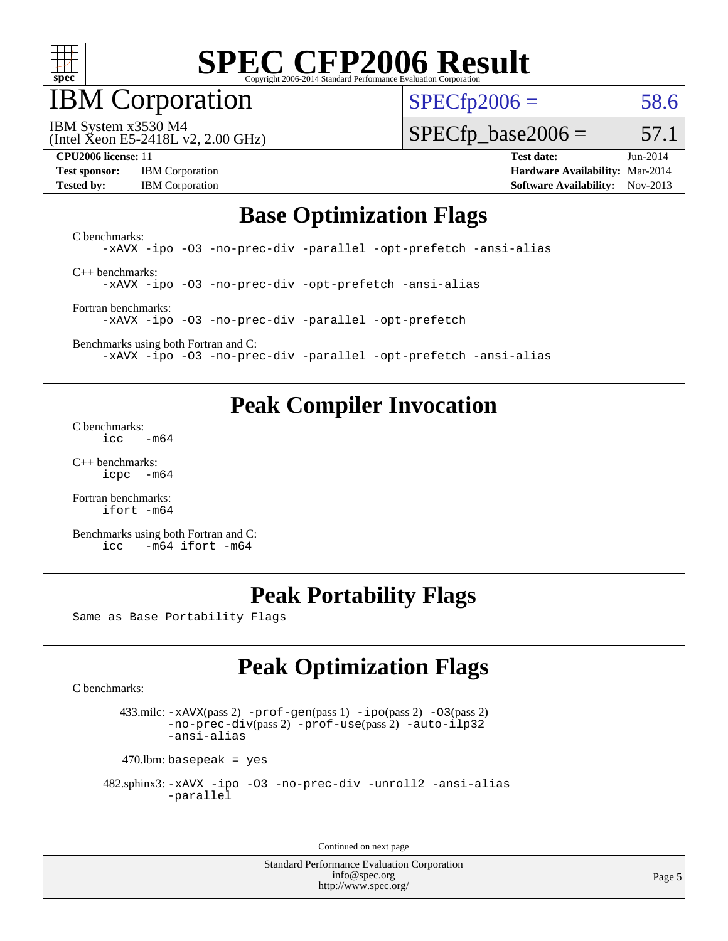

IBM Corporation

 $SPECfp2006 = 58.6$  $SPECfp2006 = 58.6$ 

(Intel Xeon E5-2418L v2, 2.00 GHz) IBM System x3530 M4

 $SPECTp\_base2006 = 57.1$ 

**[Test sponsor:](http://www.spec.org/auto/cpu2006/Docs/result-fields.html#Testsponsor)** IBM Corporation **[Hardware Availability:](http://www.spec.org/auto/cpu2006/Docs/result-fields.html#HardwareAvailability)** Mar-2014 **[Tested by:](http://www.spec.org/auto/cpu2006/Docs/result-fields.html#Testedby)** IBM Corporation **[Software Availability:](http://www.spec.org/auto/cpu2006/Docs/result-fields.html#SoftwareAvailability)** Nov-2013

**[CPU2006 license:](http://www.spec.org/auto/cpu2006/Docs/result-fields.html#CPU2006license)** 11 **[Test date:](http://www.spec.org/auto/cpu2006/Docs/result-fields.html#Testdate)** Jun-2014

## **[Base Optimization Flags](http://www.spec.org/auto/cpu2006/Docs/result-fields.html#BaseOptimizationFlags)**

[C benchmarks](http://www.spec.org/auto/cpu2006/Docs/result-fields.html#Cbenchmarks): [-xAVX](http://www.spec.org/cpu2006/results/res2014q3/cpu2006-20140617-29948.flags.html#user_CCbase_f-xAVX) [-ipo](http://www.spec.org/cpu2006/results/res2014q3/cpu2006-20140617-29948.flags.html#user_CCbase_f-ipo) [-O3](http://www.spec.org/cpu2006/results/res2014q3/cpu2006-20140617-29948.flags.html#user_CCbase_f-O3) [-no-prec-div](http://www.spec.org/cpu2006/results/res2014q3/cpu2006-20140617-29948.flags.html#user_CCbase_f-no-prec-div) [-parallel](http://www.spec.org/cpu2006/results/res2014q3/cpu2006-20140617-29948.flags.html#user_CCbase_f-parallel) [-opt-prefetch](http://www.spec.org/cpu2006/results/res2014q3/cpu2006-20140617-29948.flags.html#user_CCbase_f-opt-prefetch) [-ansi-alias](http://www.spec.org/cpu2006/results/res2014q3/cpu2006-20140617-29948.flags.html#user_CCbase_f-ansi-alias) [C++ benchmarks:](http://www.spec.org/auto/cpu2006/Docs/result-fields.html#CXXbenchmarks)

[-xAVX](http://www.spec.org/cpu2006/results/res2014q3/cpu2006-20140617-29948.flags.html#user_CXXbase_f-xAVX) [-ipo](http://www.spec.org/cpu2006/results/res2014q3/cpu2006-20140617-29948.flags.html#user_CXXbase_f-ipo) [-O3](http://www.spec.org/cpu2006/results/res2014q3/cpu2006-20140617-29948.flags.html#user_CXXbase_f-O3) [-no-prec-div](http://www.spec.org/cpu2006/results/res2014q3/cpu2006-20140617-29948.flags.html#user_CXXbase_f-no-prec-div) [-opt-prefetch](http://www.spec.org/cpu2006/results/res2014q3/cpu2006-20140617-29948.flags.html#user_CXXbase_f-opt-prefetch) [-ansi-alias](http://www.spec.org/cpu2006/results/res2014q3/cpu2006-20140617-29948.flags.html#user_CXXbase_f-ansi-alias)

[Fortran benchmarks](http://www.spec.org/auto/cpu2006/Docs/result-fields.html#Fortranbenchmarks): [-xAVX](http://www.spec.org/cpu2006/results/res2014q3/cpu2006-20140617-29948.flags.html#user_FCbase_f-xAVX) [-ipo](http://www.spec.org/cpu2006/results/res2014q3/cpu2006-20140617-29948.flags.html#user_FCbase_f-ipo) [-O3](http://www.spec.org/cpu2006/results/res2014q3/cpu2006-20140617-29948.flags.html#user_FCbase_f-O3) [-no-prec-div](http://www.spec.org/cpu2006/results/res2014q3/cpu2006-20140617-29948.flags.html#user_FCbase_f-no-prec-div) [-parallel](http://www.spec.org/cpu2006/results/res2014q3/cpu2006-20140617-29948.flags.html#user_FCbase_f-parallel) [-opt-prefetch](http://www.spec.org/cpu2006/results/res2014q3/cpu2006-20140617-29948.flags.html#user_FCbase_f-opt-prefetch)

[Benchmarks using both Fortran and C](http://www.spec.org/auto/cpu2006/Docs/result-fields.html#BenchmarksusingbothFortranandC): [-xAVX](http://www.spec.org/cpu2006/results/res2014q3/cpu2006-20140617-29948.flags.html#user_CC_FCbase_f-xAVX) [-ipo](http://www.spec.org/cpu2006/results/res2014q3/cpu2006-20140617-29948.flags.html#user_CC_FCbase_f-ipo) [-O3](http://www.spec.org/cpu2006/results/res2014q3/cpu2006-20140617-29948.flags.html#user_CC_FCbase_f-O3) [-no-prec-div](http://www.spec.org/cpu2006/results/res2014q3/cpu2006-20140617-29948.flags.html#user_CC_FCbase_f-no-prec-div) [-parallel](http://www.spec.org/cpu2006/results/res2014q3/cpu2006-20140617-29948.flags.html#user_CC_FCbase_f-parallel) [-opt-prefetch](http://www.spec.org/cpu2006/results/res2014q3/cpu2006-20140617-29948.flags.html#user_CC_FCbase_f-opt-prefetch) [-ansi-alias](http://www.spec.org/cpu2006/results/res2014q3/cpu2006-20140617-29948.flags.html#user_CC_FCbase_f-ansi-alias)

## **[Peak Compiler Invocation](http://www.spec.org/auto/cpu2006/Docs/result-fields.html#PeakCompilerInvocation)**

[C benchmarks](http://www.spec.org/auto/cpu2006/Docs/result-fields.html#Cbenchmarks):  $\text{icc}$   $-\text{m64}$ 

[C++ benchmarks:](http://www.spec.org/auto/cpu2006/Docs/result-fields.html#CXXbenchmarks) [icpc -m64](http://www.spec.org/cpu2006/results/res2014q3/cpu2006-20140617-29948.flags.html#user_CXXpeak_intel_icpc_64bit_bedb90c1146cab66620883ef4f41a67e)

[Fortran benchmarks](http://www.spec.org/auto/cpu2006/Docs/result-fields.html#Fortranbenchmarks): [ifort -m64](http://www.spec.org/cpu2006/results/res2014q3/cpu2006-20140617-29948.flags.html#user_FCpeak_intel_ifort_64bit_ee9d0fb25645d0210d97eb0527dcc06e)

[Benchmarks using both Fortran and C](http://www.spec.org/auto/cpu2006/Docs/result-fields.html#BenchmarksusingbothFortranandC): [icc -m64](http://www.spec.org/cpu2006/results/res2014q3/cpu2006-20140617-29948.flags.html#user_CC_FCpeak_intel_icc_64bit_0b7121f5ab7cfabee23d88897260401c) [ifort -m64](http://www.spec.org/cpu2006/results/res2014q3/cpu2006-20140617-29948.flags.html#user_CC_FCpeak_intel_ifort_64bit_ee9d0fb25645d0210d97eb0527dcc06e)

# **[Peak Portability Flags](http://www.spec.org/auto/cpu2006/Docs/result-fields.html#PeakPortabilityFlags)**

Same as Base Portability Flags

# **[Peak Optimization Flags](http://www.spec.org/auto/cpu2006/Docs/result-fields.html#PeakOptimizationFlags)**

[C benchmarks](http://www.spec.org/auto/cpu2006/Docs/result-fields.html#Cbenchmarks):

 433.milc: [-xAVX](http://www.spec.org/cpu2006/results/res2014q3/cpu2006-20140617-29948.flags.html#user_peakPASS2_CFLAGSPASS2_LDFLAGS433_milc_f-xAVX)(pass 2) [-prof-gen](http://www.spec.org/cpu2006/results/res2014q3/cpu2006-20140617-29948.flags.html#user_peakPASS1_CFLAGSPASS1_LDFLAGS433_milc_prof_gen_e43856698f6ca7b7e442dfd80e94a8fc)(pass 1) [-ipo](http://www.spec.org/cpu2006/results/res2014q3/cpu2006-20140617-29948.flags.html#user_peakPASS2_CFLAGSPASS2_LDFLAGS433_milc_f-ipo)(pass 2) [-O3](http://www.spec.org/cpu2006/results/res2014q3/cpu2006-20140617-29948.flags.html#user_peakPASS2_CFLAGSPASS2_LDFLAGS433_milc_f-O3)(pass 2) [-no-prec-div](http://www.spec.org/cpu2006/results/res2014q3/cpu2006-20140617-29948.flags.html#user_peakPASS2_CFLAGSPASS2_LDFLAGS433_milc_f-no-prec-div)(pass 2) [-prof-use](http://www.spec.org/cpu2006/results/res2014q3/cpu2006-20140617-29948.flags.html#user_peakPASS2_CFLAGSPASS2_LDFLAGS433_milc_prof_use_bccf7792157ff70d64e32fe3e1250b55)(pass 2) [-auto-ilp32](http://www.spec.org/cpu2006/results/res2014q3/cpu2006-20140617-29948.flags.html#user_peakCOPTIMIZE433_milc_f-auto-ilp32) [-ansi-alias](http://www.spec.org/cpu2006/results/res2014q3/cpu2006-20140617-29948.flags.html#user_peakCOPTIMIZE433_milc_f-ansi-alias)

 $470$ .lbm: basepeak = yes

```
 482.sphinx3: -xAVX -ipo -O3 -no-prec-div -unroll2 -ansi-alias
         -parallel
```
Continued on next page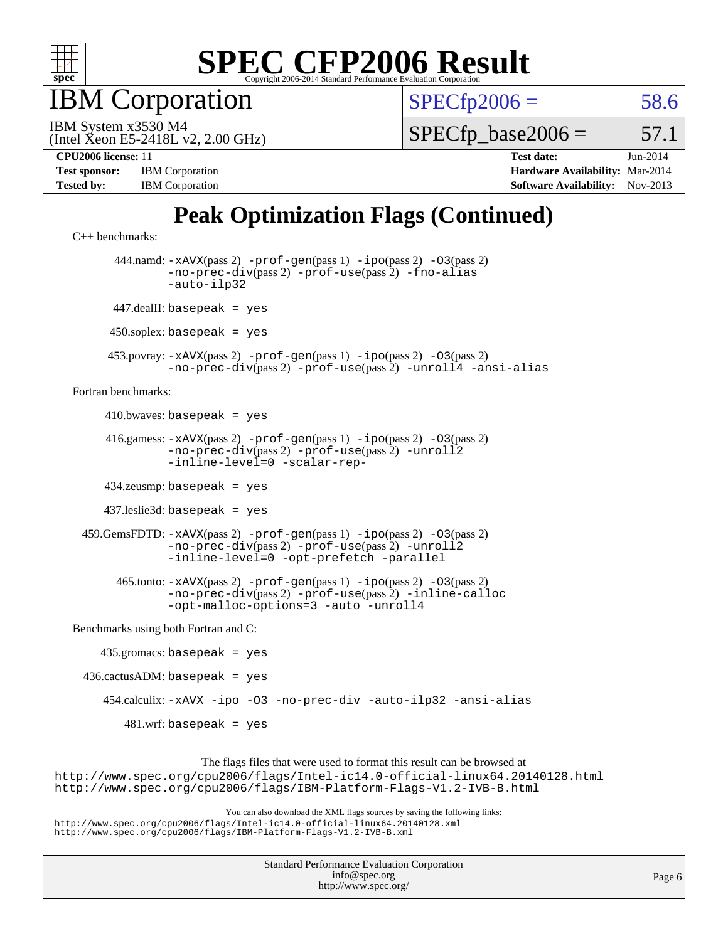

**BM** Corporation

 $SPECfp2006 = 58.6$  $SPECfp2006 = 58.6$ 

(Intel Xeon E5-2418L v2, 2.00 GHz) IBM System x3530 M4

 $SPECTp\_base2006 = 57.1$ 

| <b>Test sponsor:</b> | <b>IBM</b> Corporation |  |  |  |  |
|----------------------|------------------------|--|--|--|--|
| <b>Tested by:</b>    | <b>IBM</b> Corporation |  |  |  |  |

**[CPU2006 license:](http://www.spec.org/auto/cpu2006/Docs/result-fields.html#CPU2006license)** 11 **[Test date:](http://www.spec.org/auto/cpu2006/Docs/result-fields.html#Testdate)** Jun-2014 **[Hardware Availability:](http://www.spec.org/auto/cpu2006/Docs/result-fields.html#HardwareAvailability)** Mar-2014 **[Software Availability:](http://www.spec.org/auto/cpu2006/Docs/result-fields.html#SoftwareAvailability)** Nov-2013

# **[Peak Optimization Flags \(Continued\)](http://www.spec.org/auto/cpu2006/Docs/result-fields.html#PeakOptimizationFlags)**

```
C++ benchmarks: 
        444.namd: -xAVX(pass 2) -prof-gen(pass 1) -ipo(pass 2) -O3(pass 2)
                -no-prec-div(pass 2) -prof-use(pass 2) -fno-alias
                -auto-ilp32
       447.dealII: basepeak = yes
      450.soplex: basepeak = yes
      453.povray: -xAVX(pass 2) -prof-gen(pass 1) -ipo(pass 2) -O3(pass 2)
                -no-prec-div(pass 2) -prof-use(pass 2) -unroll4 -ansi-alias
Fortran benchmarks: 
     410.bwaves: basepeak = yes 416.gamess: -xAVX(pass 2) -prof-gen(pass 1) -ipo(pass 2) -O3(pass 2)
                -no-prec-div(pass 2) -prof-use(pass 2) -unroll2
                -inline-level=0 -scalar-rep-
      434.zeusmp: basepeak = yes
      437.leslie3d: basepeak = yes
  459.GemsFDTD: -xAVX(pass 2) -prof-gen(pass 1) -ipo(pass 2) -O3(pass 2)
                -no-prec-div(pass 2) -prof-use(pass 2) -unroll2
                -inline-level=0 -opt-prefetch -parallel
        465.tonto: -xAVX(pass 2) -prof-gen(pass 1) -ipo(pass 2) -O3(pass 2)
                -no-prec-div(pass 2) -prof-use(pass 2) -inline-calloc
                -opt-malloc-options=3-auto-unroll4
Benchmarks using both Fortran and C: 
     435.gromacs: basepeak = yes
 436.cactusADM: basepeak = yes 454.calculix: -xAVX -ipo -O3 -no-prec-div -auto-ilp32 -ansi-alias
        481.wrf: basepeak = yes
                     The flags files that were used to format this result can be browsed at
```
<http://www.spec.org/cpu2006/flags/Intel-ic14.0-official-linux64.20140128.html> <http://www.spec.org/cpu2006/flags/IBM-Platform-Flags-V1.2-IVB-B.html>

You can also download the XML flags sources by saving the following links: <http://www.spec.org/cpu2006/flags/Intel-ic14.0-official-linux64.20140128.xml> <http://www.spec.org/cpu2006/flags/IBM-Platform-Flags-V1.2-IVB-B.xml>